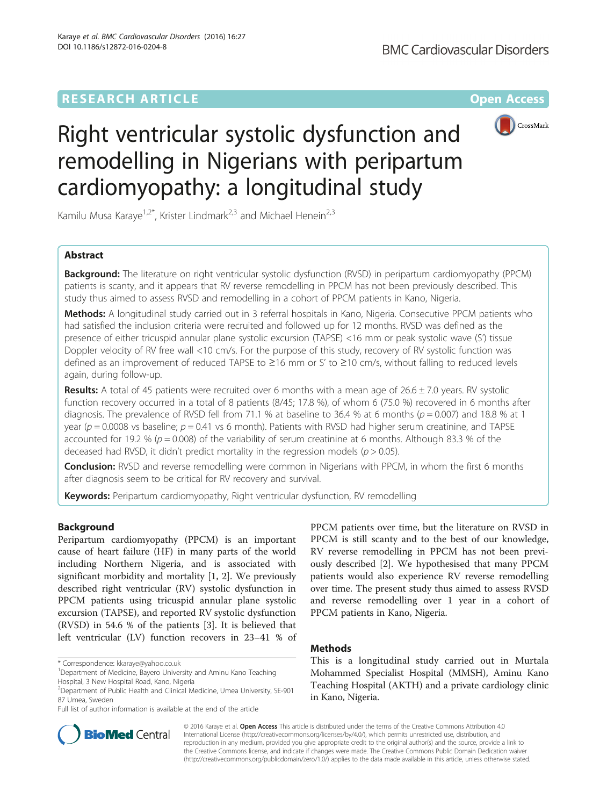## **RESEARCH ARTICLE External Structure Community Community Community Community Community Community Community Community**



# Right ventricular systolic dysfunction and remodelling in Nigerians with peripartum cardiomyopathy: a longitudinal study

Kamilu Musa Karaye<sup>1,2\*</sup>, Krister Lindmark<sup>2,3</sup> and Michael Henein<sup>2,3</sup>

## Abstract

**Background:** The literature on right ventricular systolic dysfunction (RVSD) in peripartum cardiomyopathy (PPCM) patients is scanty, and it appears that RV reverse remodelling in PPCM has not been previously described. This study thus aimed to assess RVSD and remodelling in a cohort of PPCM patients in Kano, Nigeria.

Methods: A longitudinal study carried out in 3 referral hospitals in Kano, Nigeria. Consecutive PPCM patients who had satisfied the inclusion criteria were recruited and followed up for 12 months. RVSD was defined as the presence of either tricuspid annular plane systolic excursion (TAPSE) <16 mm or peak systolic wave (S') tissue Doppler velocity of RV free wall <10 cm/s. For the purpose of this study, recovery of RV systolic function was defined as an improvement of reduced TAPSE to ≥16 mm or S' to ≥10 cm/s, without falling to reduced levels again, during follow-up.

**Results:** A total of 45 patients were recruited over 6 months with a mean age of 26.6  $\pm$  7.0 years. RV systolic function recovery occurred in a total of 8 patients (8/45; 17.8 %), of whom 6 (75.0 %) recovered in 6 months after diagnosis. The prevalence of RVSD fell from 71.1 % at baseline to 36.4 % at 6 months ( $p = 0.007$ ) and 18.8 % at 1 year ( $p = 0.0008$  vs baseline;  $p = 0.41$  vs 6 month). Patients with RVSD had higher serum creatinine, and TAPSE accounted for 19.2 % ( $p = 0.008$ ) of the variability of serum creatinine at 6 months. Although 83.3 % of the deceased had RVSD, it didn't predict mortality in the regression models ( $p > 0.05$ ).

**Conclusion:** RVSD and reverse remodelling were common in Nigerians with PPCM, in whom the first 6 months after diagnosis seem to be critical for RV recovery and survival.

Keywords: Peripartum cardiomyopathy, Right ventricular dysfunction, RV remodelling

## Background

Peripartum cardiomyopathy (PPCM) is an important cause of heart failure (HF) in many parts of the world including Northern Nigeria, and is associated with significant morbidity and mortality [\[1](#page-6-0), [2\]](#page-6-0). We previously described right ventricular (RV) systolic dysfunction in PPCM patients using tricuspid annular plane systolic excursion (TAPSE), and reported RV systolic dysfunction (RVSD) in 54.6 % of the patients [[3\]](#page-6-0). It is believed that left ventricular (LV) function recovers in 23–41 % of

PPCM patients over time, but the literature on RVSD in PPCM is still scanty and to the best of our knowledge, RV reverse remodelling in PPCM has not been previously described [[2\]](#page-6-0). We hypothesised that many PPCM patients would also experience RV reverse remodelling over time. The present study thus aimed to assess RVSD and reverse remodelling over 1 year in a cohort of PPCM patients in Kano, Nigeria.

## Methods

This is a longitudinal study carried out in Murtala Mohammed Specialist Hospital (MMSH), Aminu Kano Teaching Hospital (AKTH) and a private cardiology clinic in Kano, Nigeria.



© 2016 Karaye et al. Open Access This article is distributed under the terms of the Creative Commons Attribution 4.0 International License [\(http://creativecommons.org/licenses/by/4.0/](http://creativecommons.org/licenses/by/4.0/)), which permits unrestricted use, distribution, and reproduction in any medium, provided you give appropriate credit to the original author(s) and the source, provide a link to the Creative Commons license, and indicate if changes were made. The Creative Commons Public Domain Dedication waiver [\(http://creativecommons.org/publicdomain/zero/1.0/](http://creativecommons.org/publicdomain/zero/1.0/)) applies to the data made available in this article, unless otherwise stated.

<sup>\*</sup> Correspondence: [kkaraye@yahoo.co.uk](mailto:kkaraye@yahoo.co.uk) <sup>1</sup>

<sup>&</sup>lt;sup>1</sup>Department of Medicine, Bayero University and Aminu Kano Teaching Hospital, 3 New Hospital Road, Kano, Nigeria

<sup>&</sup>lt;sup>2</sup> Department of Public Health and Clinical Medicine, Umea University, SE-901 87 Umea, Sweden

Full list of author information is available at the end of the article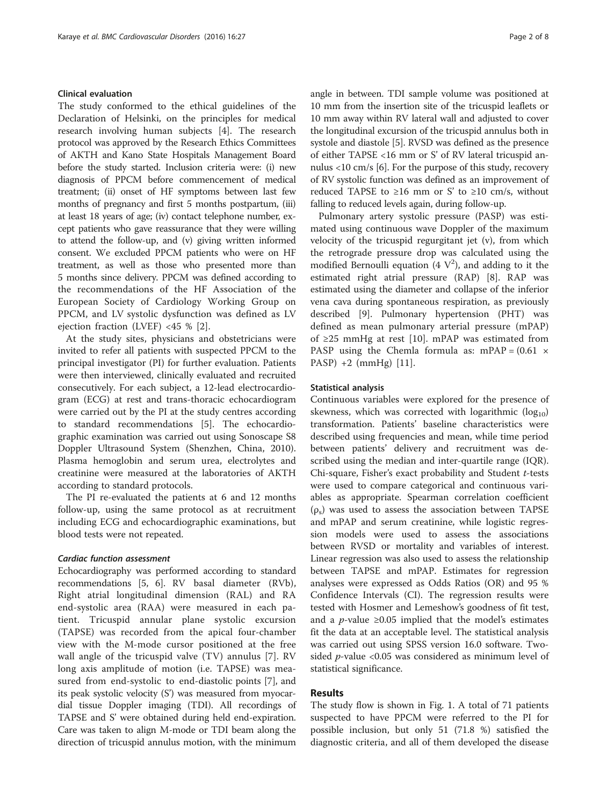#### Clinical evaluation

The study conformed to the ethical guidelines of the Declaration of Helsinki, on the principles for medical research involving human subjects [[4](#page-6-0)]. The research protocol was approved by the Research Ethics Committees of AKTH and Kano State Hospitals Management Board before the study started. Inclusion criteria were: (i) new diagnosis of PPCM before commencement of medical treatment; (ii) onset of HF symptoms between last few months of pregnancy and first 5 months postpartum, (iii) at least 18 years of age; (iv) contact telephone number, except patients who gave reassurance that they were willing to attend the follow-up, and (v) giving written informed consent. We excluded PPCM patients who were on HF treatment, as well as those who presented more than 5 months since delivery. PPCM was defined according to the recommendations of the HF Association of the European Society of Cardiology Working Group on PPCM, and LV systolic dysfunction was defined as LV ejection fraction (LVEF) <45 % [\[2](#page-6-0)].

At the study sites, physicians and obstetricians were invited to refer all patients with suspected PPCM to the principal investigator (PI) for further evaluation. Patients were then interviewed, clinically evaluated and recruited consecutively. For each subject, a 12-lead electrocardiogram (ECG) at rest and trans-thoracic echocardiogram were carried out by the PI at the study centres according to standard recommendations [\[5](#page-6-0)]. The echocardiographic examination was carried out using Sonoscape S8 Doppler Ultrasound System (Shenzhen, China, 2010). Plasma hemoglobin and serum urea, electrolytes and creatinine were measured at the laboratories of AKTH according to standard protocols.

The PI re-evaluated the patients at 6 and 12 months follow-up, using the same protocol as at recruitment including ECG and echocardiographic examinations, but blood tests were not repeated.

#### Cardiac function assessment

Echocardiography was performed according to standard recommendations [[5, 6](#page-6-0)]. RV basal diameter (RVb), Right atrial longitudinal dimension (RAL) and RA end-systolic area (RAA) were measured in each patient. Tricuspid annular plane systolic excursion (TAPSE) was recorded from the apical four-chamber view with the M-mode cursor positioned at the free wall angle of the tricuspid valve (TV) annulus [\[7](#page-6-0)]. RV long axis amplitude of motion (i.e. TAPSE) was measured from end-systolic to end-diastolic points [\[7](#page-6-0)], and its peak systolic velocity (S') was measured from myocardial tissue Doppler imaging (TDI). All recordings of TAPSE and S' were obtained during held end-expiration. Care was taken to align M-mode or TDI beam along the direction of tricuspid annulus motion, with the minimum angle in between. TDI sample volume was positioned at 10 mm from the insertion site of the tricuspid leaflets or 10 mm away within RV lateral wall and adjusted to cover the longitudinal excursion of the tricuspid annulus both in systole and diastole [[5\]](#page-6-0). RVSD was defined as the presence of either TAPSE <16 mm or S' of RV lateral tricuspid annulus <10 cm/s [\[6\]](#page-6-0). For the purpose of this study, recovery of RV systolic function was defined as an improvement of reduced TAPSE to ≥16 mm or S' to ≥10 cm/s, without falling to reduced levels again, during follow-up.

Pulmonary artery systolic pressure (PASP) was estimated using continuous wave Doppler of the maximum velocity of the tricuspid regurgitant jet (v), from which the retrograde pressure drop was calculated using the modified Bernoulli equation  $(4 \text{ V}^2)$ , and adding to it the estimated right atrial pressure (RAP) [[8\]](#page-6-0). RAP was estimated using the diameter and collapse of the inferior vena cava during spontaneous respiration, as previously described [\[9](#page-6-0)]. Pulmonary hypertension (PHT) was defined as mean pulmonary arterial pressure (mPAP) of ≥25 mmHg at rest [[10\]](#page-6-0). mPAP was estimated from PASP using the Chemla formula as:  $mPAP = (0.61 \times$ PASP) +2 (mmHg) [\[11](#page-7-0)].

#### Statistical analysis

Continuous variables were explored for the presence of skewness, which was corrected with logarithmic  $(log_{10})$ transformation. Patients' baseline characteristics were described using frequencies and mean, while time period between patients' delivery and recruitment was described using the median and inter-quartile range (IQR). Chi-square, Fisher's exact probability and Student t-tests were used to compare categorical and continuous variables as appropriate. Spearman correlation coefficient  $(\rho_s)$  was used to assess the association between TAPSE and mPAP and serum creatinine, while logistic regression models were used to assess the associations between RVSD or mortality and variables of interest. Linear regression was also used to assess the relationship between TAPSE and mPAP. Estimates for regression analyses were expressed as Odds Ratios (OR) and 95 % Confidence Intervals (CI). The regression results were tested with Hosmer and Lemeshow's goodness of fit test, and a *p*-value  $\geq 0.05$  implied that the model's estimates fit the data at an acceptable level. The statistical analysis was carried out using SPSS version 16.0 software. Twosided *p*-value  $< 0.05$  was considered as minimum level of statistical significance.

### Results

The study flow is shown in Fig. [1](#page-2-0). A total of 71 patients suspected to have PPCM were referred to the PI for possible inclusion, but only 51 (71.8 %) satisfied the diagnostic criteria, and all of them developed the disease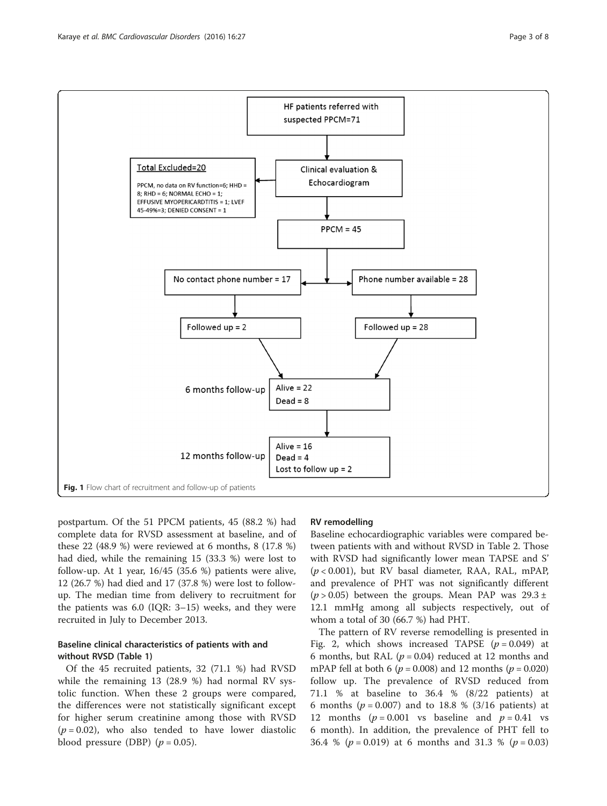<span id="page-2-0"></span>

postpartum. Of the 51 PPCM patients, 45 (88.2 %) had complete data for RVSD assessment at baseline, and of these 22 (48.9 %) were reviewed at 6 months, 8 (17.8 %) had died, while the remaining 15 (33.3 %) were lost to follow-up. At 1 year, 16/45 (35.6 %) patients were alive, 12 (26.7 %) had died and 17 (37.8 %) were lost to followup. The median time from delivery to recruitment for the patients was 6.0 (IQR: 3–15) weeks, and they were recruited in July to December 2013.

## Baseline clinical characteristics of patients with and without RVSD (Table [1\)](#page-3-0)

Of the 45 recruited patients, 32 (71.1 %) had RVSD while the remaining 13 (28.9 %) had normal RV systolic function. When these 2 groups were compared, the differences were not statistically significant except for higher serum creatinine among those with RVSD  $(p = 0.02)$ , who also tended to have lower diastolic blood pressure (DBP)  $(p = 0.05)$ .

#### RV remodelling

Baseline echocardiographic variables were compared between patients with and without RVSD in Table [2.](#page-4-0) Those with RVSD had significantly lower mean TAPSE and S'  $(p < 0.001)$ , but RV basal diameter, RAA, RAL, mPAP, and prevalence of PHT was not significantly different  $(p > 0.05)$  between the groups. Mean PAP was 29.3 ± 12.1 mmHg among all subjects respectively, out of whom a total of 30 (66.7 %) had PHT.

The pattern of RV reverse remodelling is presented in Fig. [2,](#page-4-0) which shows increased TAPSE  $(p = 0.049)$  at 6 months, but RAL ( $p = 0.04$ ) reduced at 12 months and mPAP fell at both 6 ( $p = 0.008$ ) and 12 months ( $p = 0.020$ ) follow up. The prevalence of RVSD reduced from 71.1 % at baseline to 36.4 % (8/22 patients) at 6 months ( $p = 0.007$ ) and to 18.8 % (3/16 patients) at 12 months ( $p = 0.001$  vs baseline and  $p = 0.41$  vs 6 month). In addition, the prevalence of PHT fell to 36.4 % ( $p = 0.019$ ) at 6 months and 31.3 % ( $p = 0.03$ )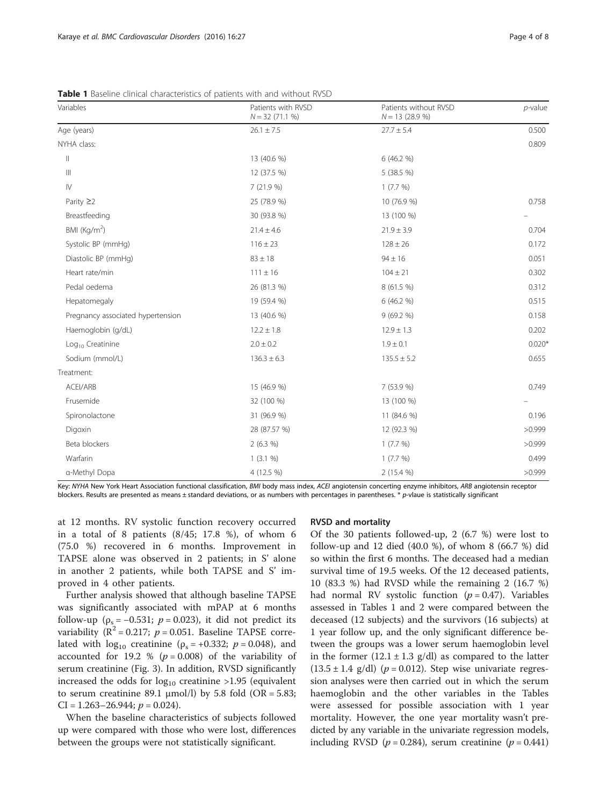| Variables                         | Patients with RVSD<br>$N = 32(71.1 %)$ | Patients without RVSD<br>$N = 13(28.9%)$ | $p$ -value |
|-----------------------------------|----------------------------------------|------------------------------------------|------------|
| Age (years)                       | $26.1 \pm 7.5$                         | $27.7 \pm 5.4$                           | 0.500      |
| NYHA class:                       |                                        |                                          | 0.809      |
| $\vert\vert$                      | 13 (40.6 %)                            | 6 (46.2 %)                               |            |
| $\  \ $                           | 12 (37.5 %)                            | 5(38.5%)                                 |            |
| ${\sf IV}$                        | 7 (21.9 %)                             | $1(7.7\%)$                               |            |
| Parity $\geq$ 2                   | 25 (78.9 %)                            | 10 (76.9 %)                              | 0.758      |
| Breastfeeding                     | 30 (93.8 %)                            | 13 (100 %)                               |            |
| BMI ( $\text{Kg/m}^2$ )           | $21.4 \pm 4.6$                         | $21.9 \pm 3.9$                           | 0.704      |
| Systolic BP (mmHg)                | $116 \pm 23$                           | $128 \pm 26$                             | 0.172      |
| Diastolic BP (mmHg)               | $83 \pm 18$                            | $94 \pm 16$                              | 0.051      |
| Heart rate/min                    | $111 \pm 16$                           | $104 \pm 21$                             | 0.302      |
| Pedal oedema                      | 26 (81.3 %)                            | 8 (61.5 %)                               | 0.312      |
| Hepatomegaly                      | 19 (59.4 %)                            | 6(46.2%)                                 | 0.515      |
| Pregnancy associated hypertension | 13 (40.6 %)                            | 9(69.2%)                                 | 0.158      |
| Haemoglobin (g/dL)                | $12.2 \pm 1.8$                         | $12.9 \pm 1.3$                           | 0.202      |
| Log <sub>10</sub> Creatinine      | $2.0 \pm 0.2$                          | $1.9 \pm 0.1$                            | $0.020*$   |
| Sodium (mmol/L)                   | $136.3 \pm 6.3$                        | $135.5 \pm 5.2$                          | 0.655      |
| Treatment:                        |                                        |                                          |            |
| ACEI/ARB                          | 15 (46.9 %)                            | 7 (53.9 %)                               | 0.749      |
| Frusemide                         | 32 (100 %)                             | 13 (100 %)                               |            |
| Spironolactone                    | 31 (96.9 %)                            | 11 (84.6 %)                              | 0.196      |
| Digoxin                           | 28 (87.57 %)                           | 12 (92.3 %)                              | >0.999     |
| Beta blockers                     | 2(6.3%)                                | 1(7.7%)                                  | >0.999     |
| Warfarin                          | 1(3.1%                                 | 1(7.7%)                                  | 0.499      |
| a-Methyl Dopa                     | 4 (12.5 %)                             | 2(15.4%)                                 | >0.999     |

<span id="page-3-0"></span>Table 1 Baseline clinical characteristics of patients with and without RVSD

Key: NYHA New York Heart Association functional classification, BMI body mass index, ACEI angiotensin concerting enzyme inhibitors, ARB angiotensin receptor blockers. Results are presented as means ± standard deviations, or as numbers with percentages in parentheses. \* p-vlaue is statistically significant

at 12 months. RV systolic function recovery occurred in a total of 8 patients (8/45; 17.8 %), of whom 6 (75.0 %) recovered in 6 months. Improvement in TAPSE alone was observed in 2 patients; in S' alone in another 2 patients, while both TAPSE and S' improved in 4 other patients.

Further analysis showed that although baseline TAPSE was significantly associated with mPAP at 6 months follow-up ( $\rho_s = -0.531$ ;  $p = 0.023$ ), it did not predict its variability ( $\mathbb{R}^2 = 0.217$ ;  $p = 0.051$ . Baseline TAPSE correlated with  $log_{10}$  creatinine ( $\rho_s$  = +0.332;  $p$  = 0.048), and accounted for 19.2 %  $(p = 0.008)$  of the variability of serum creatinine (Fig. [3](#page-5-0)). In addition, RVSD significantly increased the odds for  $log_{10}$  creatinine >1.95 (equivalent to serum creatinine 89.1 μmol/l) by 5.8 fold (OR = 5.83;  $CI = 1.263 - 26.944; p = 0.024.$ 

When the baseline characteristics of subjects followed up were compared with those who were lost, differences between the groups were not statistically significant.

#### RVSD and mortality

Of the 30 patients followed-up, 2 (6.7 %) were lost to follow-up and 12 died (40.0 %), of whom 8 (66.7 %) did so within the first 6 months. The deceased had a median survival time of 19.5 weeks. Of the 12 deceased patients, 10 (83.3 %) had RVSD while the remaining 2 (16.7 %) had normal RV systolic function  $(p = 0.47)$ . Variables assessed in Tables 1 and [2](#page-4-0) were compared between the deceased (12 subjects) and the survivors (16 subjects) at 1 year follow up, and the only significant difference between the groups was a lower serum haemoglobin level in the former  $(12.1 \pm 1.3 \text{ g/dl})$  as compared to the latter  $(13.5 \pm 1.4 \text{ g/dl})$  ( $p = 0.012$ ). Step wise univariate regression analyses were then carried out in which the serum haemoglobin and the other variables in the Tables were assessed for possible association with 1 year mortality. However, the one year mortality wasn't predicted by any variable in the univariate regression models, including RVSD ( $p = 0.284$ ), serum creatinine ( $p = 0.441$ )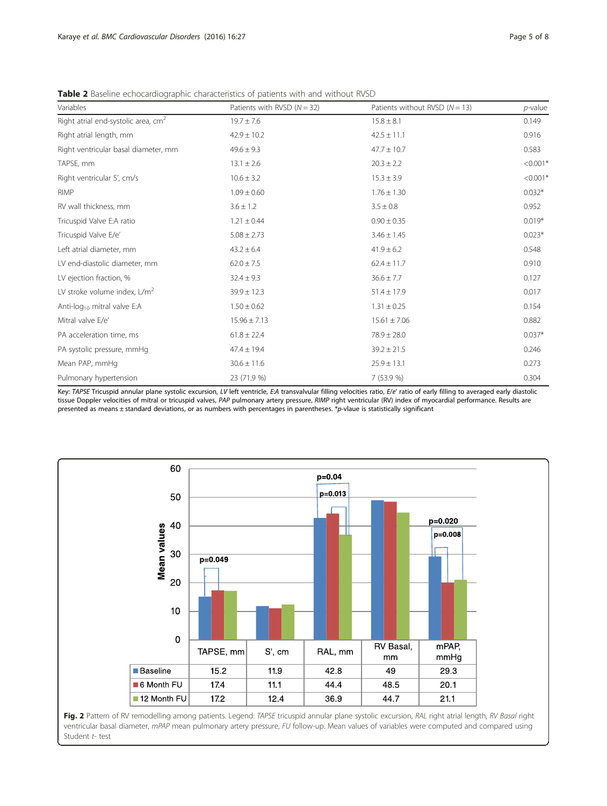| Variables                                       | Patients with RVSD ( $N = 32$ ) | Patients without RVSD ( $N = 13$ ) | $p$ -value |
|-------------------------------------------------|---------------------------------|------------------------------------|------------|
| Right atrial end-systolic area, cm <sup>2</sup> | $19.7 \pm 7.6$                  | $15.8 \pm 8.1$                     | 0.149      |
| Right atrial length, mm                         | $42.9 \pm 10.2$                 | $42.5 \pm 11.1$                    | 0.916      |
| Right ventricular basal diameter, mm            | $49.6 \pm 9.3$                  | $47.7 \pm 10.7$                    | 0.583      |
| TAPSE, mm                                       | $13.1 \pm 2.6$                  | $20.3 \pm 2.2$                     | $< 0.001*$ |
| Right ventricular S', cm/s                      | $10.6 \pm 3.2$                  | $15.3 \pm 3.9$                     | $< 0.001*$ |
| <b>RIMP</b>                                     | $1.09 \pm 0.60$                 | $1.76 \pm 1.30$                    | $0.032*$   |
| RV wall thickness, mm                           | $3.6 \pm 1.2$                   | $3.5 \pm 0.8$                      | 0.952      |
| Tricuspid Valve E:A ratio                       | $1.21 \pm 0.44$                 | $0.90 \pm 0.35$                    | $0.019*$   |
| Tricuspid Valve E/e'                            | $5.08 \pm 2.73$                 | $3.46 \pm 1.45$                    | $0.023*$   |
| Left atrial diameter, mm                        | $43.2 \pm 6.4$                  | $41.9 \pm 6.2$                     | 0.548      |
| LV end-diastolic diameter, mm                   | $62.0 \pm 7.5$                  | $62.4 \pm 11.7$                    | 0.910      |
| LV ejection fraction, %                         | $32.4 \pm 9.3$                  | $36.6 \pm 7.7$                     | 0.127      |
| LV stroke volume index, $L/m^2$                 | $39.9 \pm 12.3$                 | $51.4 \pm 17.9$                    | 0.017      |
| Anti-log <sub>10</sub> mitral valve E:A         | $1.50 \pm 0.62$                 | $1.31 \pm 0.25$                    | 0.154      |
| Mitral valve E/e'                               | $15.96 \pm 7.13$                | $15.61 \pm 7.06$                   | 0.882      |
| PA acceleration time, ms                        | $61.8 \pm 22.4$                 | $78.9 \pm 28.0$                    | $0.037*$   |
| PA systolic pressure, mmHg                      | $47.4 \pm 19.4$                 | $39.2 \pm 21.5$                    | 0.246      |
| Mean PAP, mmHg                                  | $30.6 \pm 11.6$                 | $25.9 \pm 13.1$                    | 0.273      |
| Pulmonary hypertension                          | 23 (71.9 %)                     | 7 (53.9 %)                         | 0.304      |

<span id="page-4-0"></span>Table 2 Baseline echocardiographic characteristics of patients with and without RVSD

Key: TAPSE Tricuspid annular plane systolic excursion, LV left ventricle, E:A transvalvular filling velocities ratio, E/e' ratio of early filling to averaged early diastolic tissue Doppler velocities of mitral or tricuspid valves, PAP pulmonary artery pressure, RIMP right ventricular (RV) index of myocardial performance. Results are presented as means ± standard deviations, or as numbers with percentages in parentheses. \*p-vlaue is statistically significant



Fig. 2 Pattern of RV remodelling among patients. Legend: TAPSE tricuspid annular plane systolic excursion, RAL right atrial length, RV Basal right ventricular basal diameter, mPAP mean pulmonary artery pressure, FU follow-up. Mean values of variables were computed and compared using Student t- test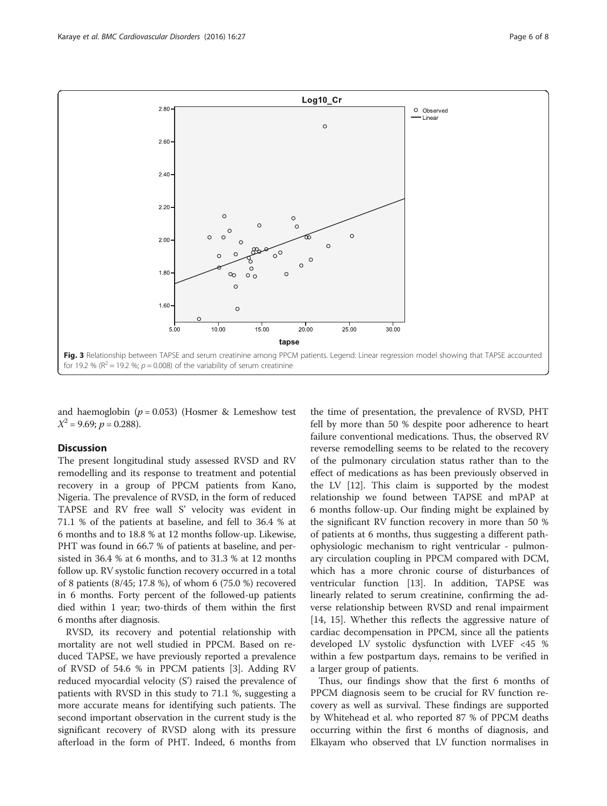<span id="page-5-0"></span>

and haemoglobin ( $p = 0.053$ ) (Hosmer & Lemeshow test  $X^2 = 9.69; p = 0.288$ ).

#### **Discussion**

The present longitudinal study assessed RVSD and RV remodelling and its response to treatment and potential recovery in a group of PPCM patients from Kano, Nigeria. The prevalence of RVSD, in the form of reduced TAPSE and RV free wall S' velocity was evident in 71.1 % of the patients at baseline, and fell to 36.4 % at 6 months and to 18.8 % at 12 months follow-up. Likewise, PHT was found in 66.7 % of patients at baseline, and persisted in 36.4 % at 6 months, and to 31.3 % at 12 months follow up. RV systolic function recovery occurred in a total of 8 patients (8/45; 17.8 %), of whom 6 (75.0 %) recovered in 6 months. Forty percent of the followed-up patients died within 1 year; two-thirds of them within the first 6 months after diagnosis.

RVSD, its recovery and potential relationship with mortality are not well studied in PPCM. Based on reduced TAPSE, we have previously reported a prevalence of RVSD of 54.6 % in PPCM patients [\[3](#page-6-0)]. Adding RV reduced myocardial velocity (S') raised the prevalence of patients with RVSD in this study to 71.1 %, suggesting a more accurate means for identifying such patients. The second important observation in the current study is the significant recovery of RVSD along with its pressure afterload in the form of PHT. Indeed, 6 months from

the time of presentation, the prevalence of RVSD, PHT fell by more than 50 % despite poor adherence to heart failure conventional medications. Thus, the observed RV reverse remodelling seems to be related to the recovery of the pulmonary circulation status rather than to the effect of medications as has been previously observed in the LV [[12\]](#page-7-0). This claim is supported by the modest relationship we found between TAPSE and mPAP at 6 months follow-up. Our finding might be explained by the significant RV function recovery in more than 50 % of patients at 6 months, thus suggesting a different pathophysiologic mechanism to right ventricular - pulmonary circulation coupling in PPCM compared with DCM, which has a more chronic course of disturbances of ventricular function [[13](#page-7-0)]. In addition, TAPSE was linearly related to serum creatinine, confirming the adverse relationship between RVSD and renal impairment [[14, 15](#page-7-0)]. Whether this reflects the aggressive nature of cardiac decompensation in PPCM, since all the patients developed LV systolic dysfunction with LVEF <45 % within a few postpartum days, remains to be verified in a larger group of patients.

Thus, our findings show that the first 6 months of PPCM diagnosis seem to be crucial for RV function recovery as well as survival. These findings are supported by Whitehead et al. who reported 87 % of PPCM deaths occurring within the first 6 months of diagnosis, and Elkayam who observed that LV function normalises in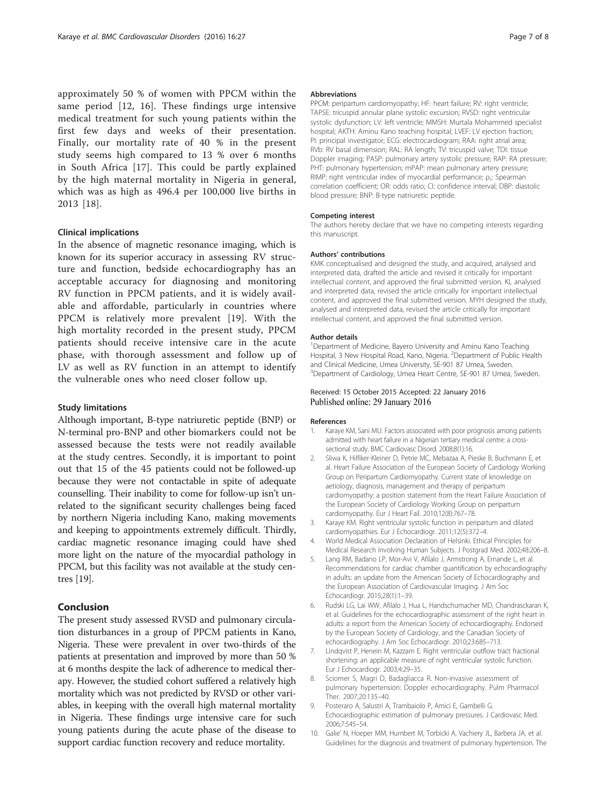<span id="page-6-0"></span>approximately 50 % of women with PPCM within the same period [[12, 16\]](#page-7-0). These findings urge intensive medical treatment for such young patients within the first few days and weeks of their presentation. Finally, our mortality rate of 40 % in the present study seems high compared to 13 % over 6 months in South Africa [[17\]](#page-7-0). This could be partly explained by the high maternal mortality in Nigeria in general, which was as high as 496.4 per 100,000 live births in 2013 [\[18](#page-7-0)].

#### Clinical implications

In the absence of magnetic resonance imaging, which is known for its superior accuracy in assessing RV structure and function, bedside echocardiography has an acceptable accuracy for diagnosing and monitoring RV function in PPCM patients, and it is widely available and affordable, particularly in countries where PPCM is relatively more prevalent [[19\]](#page-7-0). With the high mortality recorded in the present study, PPCM patients should receive intensive care in the acute phase, with thorough assessment and follow up of LV as well as RV function in an attempt to identify the vulnerable ones who need closer follow up.

#### Study limitations

Although important, B-type natriuretic peptide (BNP) or N-terminal pro-BNP and other biomarkers could not be assessed because the tests were not readily available at the study centres. Secondly, it is important to point out that 15 of the 45 patients could not be followed-up because they were not contactable in spite of adequate counselling. Their inability to come for follow-up isn't unrelated to the significant security challenges being faced by northern Nigeria including Kano, making movements and keeping to appointments extremely difficult. Thirdly, cardiac magnetic resonance imaging could have shed more light on the nature of the myocardial pathology in PPCM, but this facility was not available at the study centres [\[19\]](#page-7-0).

#### Conclusion

The present study assessed RVSD and pulmonary circulation disturbances in a group of PPCM patients in Kano, Nigeria. These were prevalent in over two-thirds of the patients at presentation and improved by more than 50 % at 6 months despite the lack of adherence to medical therapy. However, the studied cohort suffered a relatively high mortality which was not predicted by RVSD or other variables, in keeping with the overall high maternal mortality in Nigeria. These findings urge intensive care for such young patients during the acute phase of the disease to support cardiac function recovery and reduce mortality.

#### **Abbreviations**

PPCM: peripartum cardiomyopathy; HF: heart failure; RV: right ventricle; TAPSE: tricuspid annular plane systolic excursion; RVSD: right ventricular systolic dysfunction; LV: left ventricle; MMSH: Murtala Mohammed specialist hospital; AKTH: Aminu Kano teaching hospital; LVEF: LV ejection fraction; PI: principal investigator; ECG: electrocardiogram; RAA: right atrial area; RVb: RV basal dimension; RAL: RA length; TV: tricuspid valve; TDI: tissue Doppler imaging; PASP: pulmonary artery systolic pressure; RAP: RA pressure; PHT: pulmonary hypertension; mPAP: mean pulmonary artery pressure; RIMP: right ventricular index of myocardial performance; ρ<sub>s</sub>: Spearman correlation coefficient; OR: odds ratio; CI: confidence interval; DBP: diastolic blood pressure; BNP: B-type natriuretic peptide.

#### Competing interest

The authors hereby declare that we have no competing interests regarding this manuscript.

#### Authors' contributions

KMK conceptualised and designed the study, and acquired, analysed and interpreted data, drafted the article and revised it critically for important intellectual content, and approved the final submitted version. KL analysed and interpreted data, revised the article critically for important intellectual content, and approved the final submitted version. MYH designed the study, analysed and interpreted data, revised the article critically for important intellectual content, and approved the final submitted version.

#### Author details

<sup>1</sup>Department of Medicine, Bayero University and Aminu Kano Teaching Hospital, 3 New Hospital Road, Kano, Nigeria. <sup>2</sup>Department of Public Health and Clinical Medicine, Umea University, SE-901 87 Umea, Sweden. <sup>3</sup>Department of Cardiology, Umea Heart Centre, SE-901 87 Umea, Sweden.

#### Received: 15 October 2015 Accepted: 22 January 2016 Published online: 29 January 2016

#### References

- 1. Karaye KM, Sani MU. Factors associated with poor prognosis among patients admitted with heart failure in a Nigerian tertiary medical centre: a crosssectional study. BMC Cardiovasc Disord. 2008;8(1):16.
- 2. Sliwa K, Hilfiker-Kleiner D, Petrie MC, Mebazaa A, Pieske B, Buchmann E, et al. Heart Failure Association of the European Society of Cardiology Working Group on Peripartum Cardiomyopathy. Current state of knowledge on aetiology, diagnosis, management and therapy of peripartum cardiomyopathy: a position statement from the Heart Failure Association of the European Society of Cardiology Working Group on peripartum cardiomyopathy. Eur J Heart Fail. 2010;12(8):767–78.
- 3. Karaye KM. Right ventricular systolic function in peripartum and dilated cardiomyopathies. Eur J Echocardiogr. 2011;12(5):372–4.
- 4. World Medical Association Declaration of Helsinki. Ethical Principles for Medical Research Involving Human Subjects. J Postgrad Med. 2002;48:206–8.
- Lang RM, Badano LP, Mor-Avi V, Afilalo J, Armstrong A, Ernande L, et al. Recommendations for cardiac chamber quantification by echocardiography in adults: an update from the American Society of Echocardiography and the European Association of Cardiovascular Imaging. J Am Soc Echocardiogr. 2015;28(1):1–39.
- 6. Rudski LG, Lai WW, Afilalo J, Hua L, Handschumacher MD, Chandrasckaran K, et al. Guidelines for the echocardiographic assessment of the right heart in adults: a report from the American Society of echocardiography. Endorsed by the European Society of Cardiology, and the Canadian Society of echocardiography. J Am Soc Echocardiogr. 2010;23:685–713.
- 7. Lindqvist P, Henein M, Kazzam E. Right ventricular outflow tract fractional shortening: an applicable measure of right ventricular systolic function. Eur J Echocardiogr. 2003;4:29–35.
- 8. Sciomer S, Magri D, Badagliacca R. Non-invasive assessment of pulmonary hypertension: Doppler echocardiography. Pulm Pharmacol Ther. 2007;20:135–40.
- 9. Posteraro A, Salustri A, Trambaiolo P, Amici E, Gambelli G. Echocardiographic estimation of pulmonary pressures. J Cardiovasc Med. 2006;7:545–54.
- 10. Galie' N, Hoeper MM, Humbert M, Torbicki A, Vachiery JL, Barbera JA, et al. Guidelines for the diagnosis and treatment of pulmonary hypertension. The